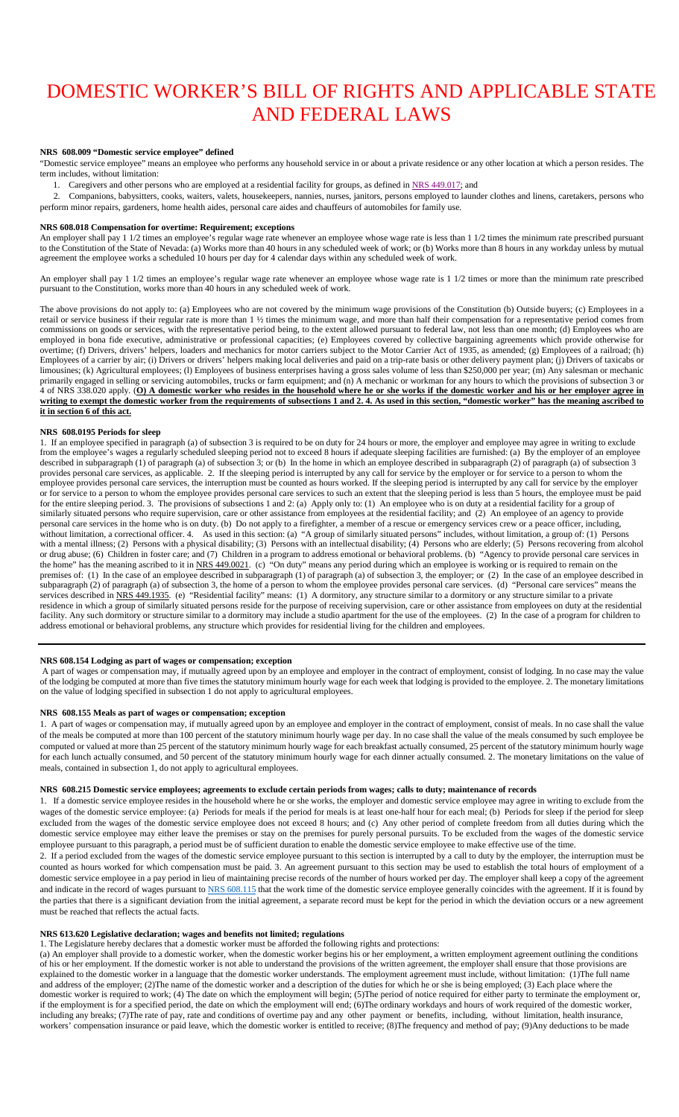# DOMESTIC WORKER'S BILL OF RIGHTS AND APPLICABLE STATE AND FEDERAL LAWS

# **NRS 608.009 "Domestic service employee" defined**

"Domestic service employee" means an employee who performs any household service in or about a private residence or any other location at which a person resides. The term includes, without limitation:

1. Caregivers and other persons who are employed at a residential facility for groups, as defined in [NRS 449.017;](https://www.leg.state.nv.us/NRS/NRS-449.html#NRS449Sec017) and

 2. Companions, babysitters, cooks, waiters, valets, housekeepers, nannies, nurses, janitors, persons employed to launder clothes and linens, caretakers, persons who perform minor repairs, gardeners, home health aides, personal care aides and chauffeurs of automobiles for family use.

#### **NRS 608.018 Compensation for overtime: Requirement; exceptions**

An employer shall pay 1 1/2 times an employee's regular wage rate whenever an employee whose wage rate is less than 1 1/2 times the minimum rate prescribed pursuant to the Constitution of the State of Nevada: (a) Works more than 40 hours in any scheduled week of work; or (b) Works more than 8 hours in any workday unless by mutual agreement the employee works a scheduled 10 hours per day for 4 calendar days within any scheduled week of work.

An employer shall pay 1 1/2 times an employee's regular wage rate whenever an employee whose wage rate is 1 1/2 times or more than the minimum rate prescribed pursuant to the Constitution, works more than 40 hours in any scheduled week of work.

The above provisions do not apply to: (a) Employees who are not covered by the minimum wage provisions of the Constitution (b) Outside buyers; (c) Employees in a retail or service business if their regular rate is more than 1 1/2 times the minimum wage, and more than half their compensation for a representative period comes from commissions on goods or services, with the representative period being, to the extent allowed pursuant to federal law, not less than one month; (d) Employees who are employed in bona fide executive, administrative or professional capacities; (e) Employees covered by collective bargaining agreements which provide otherwise for overtime; (f) Drivers, drivers' helpers, loaders and mechanics for motor carriers subject to the Motor Carrier Act of 1935, as amended; (g) Employees of a railroad; (h) Employees of a carrier by air; (i) Drivers or drivers' helpers making local deliveries and paid on a trip-rate basis or other delivery payment plan; (j) Drivers of taxicabs or limousines; (k) Agricultural employees; (l) Employees of business enterprises having a gross sales volume of less than \$250,000 per year; (m) Any salesman or mechanic primarily engaged in selling or servicing automobiles, trucks or farm equipment; and (n) A mechanic or workman for any hours to which the provisions of subsection 3 or 4 of NRS 338.020 apply. (**O) A domestic worker who resides in the household where he or she works if the domestic worker and his or her employer agree in writing to exempt the domestic worker from the requirements of subsections 1 and 2. 4. As used in this section, "domestic worker" has the meaning ascribed to it in section 6 of this act.**

## **NRS 608.0195 Periods for sleep**

1. If an employee specified in paragraph (a) of subsection 3 is required to be on duty for 24 hours or more, the employer and employee may agree in writing to exclude from the employee's wages a regularly scheduled sleeping period not to exceed 8 hours if adequate sleeping facilities are furnished: (a) By the employer of an employee described in subparagraph (1) of paragraph (a) of subsection 3; or (b) In the home in which an employee described in subparagraph (2) of paragraph (a) of subsection 3 provides personal care services, as applicable. 2. If the sleeping period is interrupted by any call for service by the employer or for service to a person to whom the employee provides personal care services, the interruption must be counted as hours worked. If the sleeping period is interrupted by any call for service by the employer or for service to a person to whom the employee provides personal care services to such an extent that the sleeping period is less than 5 hours, the employee must be paid for the entire sleeping period. 3. The provisions of subsections 1 and 2: (a) Apply only to: (1) An employee who is on duty at a residential facility for a group of similarly situated persons who require supervision, care or other assistance from employees at the residential facility; and (2) An employee of an agency to provide personal care services in the home who is on duty. (b) Do not apply to a firefighter, a member of a rescue or emergency services crew or a peace officer, including, without limitation, a correctional officer. 4. As used in this section: (a) "A group of similarly situated persons" includes, without limitation, a group of: (1) Persons with a mental illness; (2) Persons with a physical disability; (3) Persons with an intellectual disability; (4) Persons who are elderly; (5) Persons recovering from alcohol or drug abuse; (6) Children in foster care; and (7) Children in a program to address emotional or behavioral problems. (b) "Agency to provide personal care services in the home" has the meaning ascribed to it in [NRS 449.0021.](https://www.leg.state.nv.us/NRS/NRS-449.html#NRS449Sec0021) (c) "On duty" means any period during which an employee is working or is required to remain on the premises of: (1) In the case of an employee described in subparagraph (1) of paragraph (a) of subsection 3, the employer; or (2) In the case of an employee described in subparagraph (2) of paragraph (a) of subsection 3, the home of a person to whom the employee provides personal care services. (d) "Personal care services" means the services described in [NRS 449.1935.](https://www.leg.state.nv.us/NRS/NRS-449.html#NRS449Sec1935) (e) "Residential facility" means: (1) A dormitory, any structure similar to a dormitory or any structure similar to a private residence in which a group of similarly situated persons reside for the purpose of receiving supervision, care or other assistance from employees on duty at the residential facility. Any such dormitory or structure similar to a dormitory may include a studio apartment for the use of the employees. (2) In the case of a program for children to address emotional or behavioral problems, any structure which provides for residential living for the children and employees.

## **NRS 608.154 Lodging as part of wages or compensation; exception**

A part of wages or compensation may, if mutually agreed upon by an employee and employer in the contract of employment, consist of lodging. In no case may the value of the lodging be computed at more than five times the statutory minimum hourly wage for each week that lodging is provided to the employee. 2. The monetary limitations on the value of lodging specified in subsection 1 do not apply to agricultural employees.

#### **NRS 608.155 Meals as part of wages or compensation; exception**

1. A part of wages or compensation may, if mutually agreed upon by an employee and employer in the contract of employment, consist of meals. In no case shall the value of the meals be computed at more than 100 percent of the statutory minimum hourly wage per day. In no case shall the value of the meals consumed by such employee be computed or valued at more than 25 percent of the statutory minimum hourly wage for each breakfast actually consumed, 25 percent of the statutory minimum hourly wage for each lunch actually consumed, and 50 percent of the statutory minimum hourly wage for each dinner actually consumed. 2. The monetary limitations on the value of meals, contained in subsection 1, do not apply to agricultural employees.

#### **NRS 608.215 Domestic service employees; agreements to exclude certain periods from wages; calls to duty; maintenance of records**

1. If a domestic service employee resides in the household where he or she works, the employer and domestic service employee may agree in writing to exclude from the wages of the domestic service employee: (a) Periods for meals if the period for meals is at least one-half hour for each meal; (b) Periods for sleep if the period for sleep excluded from the wages of the domestic service employee does not exceed 8 hours; and (c) Any other period of complete freedom from all duties during which the domestic service employee may either leave the premises or stay on the premises for purely personal pursuits. To be excluded from the wages of the domestic service employee pursuant to this paragraph, a period must be of sufficient duration to enable the domestic service employee to make effective use of the time.

2. If a period excluded from the wages of the domestic service employee pursuant to this section is interrupted by a call to duty by the employer, the interruption must be counted as hours worked for which compensation must be paid. 3. An agreement pursuant to this section may be used to establish the total hours of employment of a domestic service employee in a pay period in lieu of maintaining precise records of the number of hours worked per day. The employer shall keep a copy of the agreement and indicate in the record of wages pursuant t[o NRS 608.115](https://www.leg.state.nv.us/NRS/NRS-608.html#NRS608Sec115) that the work time of the domestic service employee generally coincides with the agreement. If it is found by the parties that there is a significant deviation from the initial agreement, a separate record must be kept for the period in which the deviation occurs or a new agreement must be reached that reflects the actual facts.

## **NRS 613.620 Legislative declaration; wages and benefits not limited; regulations**

1. The Legislature hereby declares that a domestic worker must be afforded the following rights and protections:

(a) An employer shall provide to a domestic worker, when the domestic worker begins his or her employment, a written employment agreement outlining the conditions of his or her employment. If the domestic worker is not able to understand the provisions of the written agreement, the employer shall ensure that those provisions are explained to the domestic worker in a language that the domestic worker understands. The employment agreement must include, without limitation: (1)The full name and address of the employer; (2)The name of the domestic worker and a description of the duties for which he or she is being employed; (3) Each place where the domestic worker is required to work; (4) The date on which the employment will begin; (5)The period of notice required for either party to terminate the employment or, if the employment is for a specified period, the date on which the employment will end; (6)The ordinary workdays and hours of work required of the domestic worker, including any breaks; (7)The rate of pay, rate and conditions of overtime pay and any other payment or benefits, including, without limitation, health insurance, workers' compensation insurance or paid leave, which the domestic worker is entitled to receive; (8)The frequency and method of pay; (9)Any deductions to be made